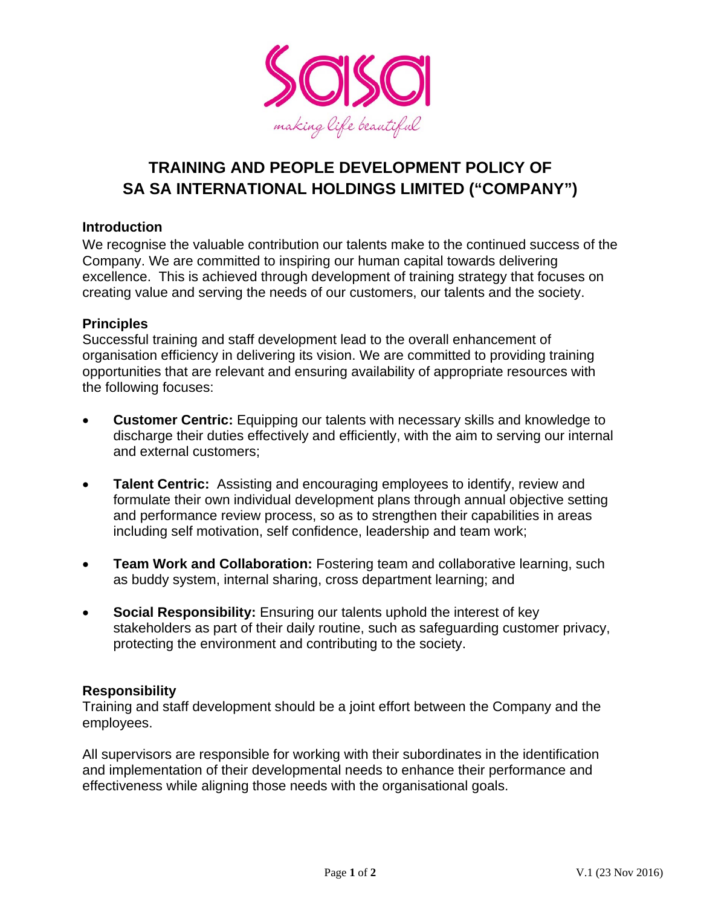

# **TRAINING AND PEOPLE DEVELOPMENT POLICY OF SA SA INTERNATIONAL HOLDINGS LIMITED ("COMPANY")**

## **Introduction**

We recognise the valuable contribution our talents make to the continued success of the Company. We are committed to inspiring our human capital towards delivering excellence. This is achieved through development of training strategy that focuses on creating value and serving the needs of our customers, our talents and the society.

## **Principles**

Successful training and staff development lead to the overall enhancement of organisation efficiency in delivering its vision. We are committed to providing training opportunities that are relevant and ensuring availability of appropriate resources with the following focuses:

- **Customer Centric:** Equipping our talents with necessary skills and knowledge to discharge their duties effectively and efficiently, with the aim to serving our internal and external customers;
- **Talent Centric:** Assisting and encouraging employees to identify, review and formulate their own individual development plans through annual objective setting and performance review process, so as to strengthen their capabilities in areas including self motivation, self confidence, leadership and team work;
- **Team Work and Collaboration:** Fostering team and collaborative learning, such as buddy system, internal sharing, cross department learning; and
- **Social Responsibility:** Ensuring our talents uphold the interest of key stakeholders as part of their daily routine, such as safeguarding customer privacy, protecting the environment and contributing to the society.

#### **Responsibility**

Training and staff development should be a joint effort between the Company and the employees.

All supervisors are responsible for working with their subordinates in the identification and implementation of their developmental needs to enhance their performance and effectiveness while aligning those needs with the organisational goals.